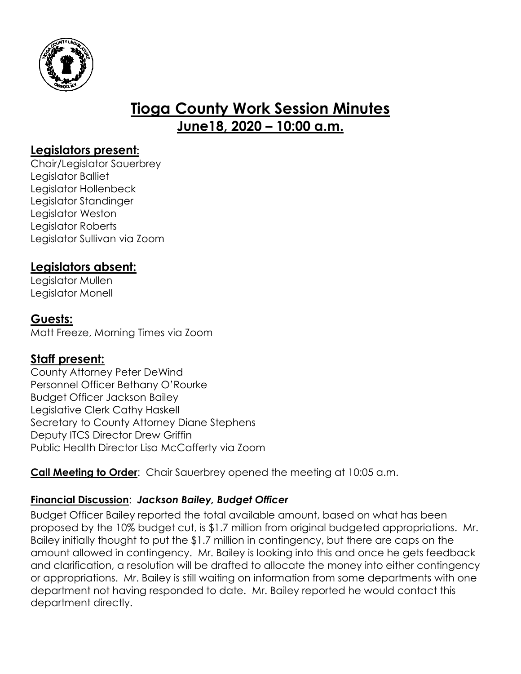

# **Tioga County Work Session Minutes June18, 2020 – 10:00 a.m.**

### **Legislators present:**

Chair/Legislator Sauerbrey Legislator Balliet Legislator Hollenbeck Legislator Standinger Legislator Weston Legislator Roberts Legislator Sullivan via Zoom

## **Legislators absent:**

Legislator Mullen Legislator Monell

# **Guests:**

Matt Freeze, Morning Times via Zoom

## **Staff present:**

County Attorney Peter DeWind Personnel Officer Bethany O'Rourke Budget Officer Jackson Bailey Legislative Clerk Cathy Haskell Secretary to County Attorney Diane Stephens Deputy ITCS Director Drew Griffin Public Health Director Lisa McCafferty via Zoom

**Call Meeting to Order**: Chair Sauerbrey opened the meeting at 10:05 a.m.

# **Financial Discussion**: *Jackson Bailey, Budget Officer*

Budget Officer Bailey reported the total available amount, based on what has been proposed by the 10% budget cut, is \$1.7 million from original budgeted appropriations. Mr. Bailey initially thought to put the \$1.7 million in contingency, but there are caps on the amount allowed in contingency. Mr. Bailey is looking into this and once he gets feedback and clarification, a resolution will be drafted to allocate the money into either contingency or appropriations. Mr. Bailey is still waiting on information from some departments with one department not having responded to date. Mr. Bailey reported he would contact this department directly.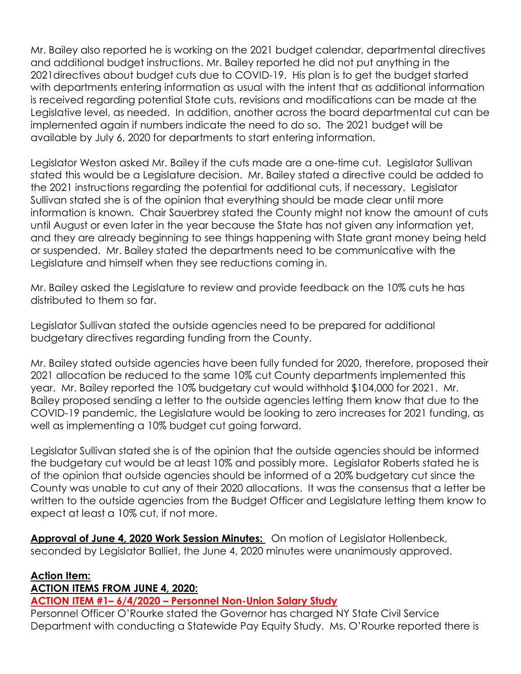Mr. Bailey also reported he is working on the 2021 budget calendar, departmental directives and additional budget instructions. Mr. Bailey reported he did not put anything in the 2021directives about budget cuts due to COVID-19. His plan is to get the budget started with departments entering information as usual with the intent that as additional information is received regarding potential State cuts, revisions and modifications can be made at the Legislative level, as needed. In addition, another across the board departmental cut can be implemented again if numbers indicate the need to do so. The 2021 budget will be available by July 6, 2020 for departments to start entering information.

Legislator Weston asked Mr. Bailey if the cuts made are a one-time cut. Legislator Sullivan stated this would be a Legislature decision. Mr. Bailey stated a directive could be added to the 2021 instructions regarding the potential for additional cuts, if necessary. Legislator Sullivan stated she is of the opinion that everything should be made clear until more information is known. Chair Sauerbrey stated the County might not know the amount of cuts until August or even later in the year because the State has not given any information yet, and they are already beginning to see things happening with State grant money being held or suspended. Mr. Bailey stated the departments need to be communicative with the Legislature and himself when they see reductions coming in.

Mr. Bailey asked the Legislature to review and provide feedback on the 10% cuts he has distributed to them so far.

Legislator Sullivan stated the outside agencies need to be prepared for additional budgetary directives regarding funding from the County.

Mr. Bailey stated outside agencies have been fully funded for 2020, therefore, proposed their 2021 allocation be reduced to the same 10% cut County departments implemented this year. Mr. Bailey reported the 10% budgetary cut would withhold \$104,000 for 2021. Mr. Bailey proposed sending a letter to the outside agencies letting them know that due to the COVID-19 pandemic, the Legislature would be looking to zero increases for 2021 funding, as well as implementing a 10% budget cut going forward.

Legislator Sullivan stated she is of the opinion that the outside agencies should be informed the budgetary cut would be at least 10% and possibly more. Legislator Roberts stated he is of the opinion that outside agencies should be informed of a 20% budgetary cut since the County was unable to cut any of their 2020 allocations. It was the consensus that a letter be written to the outside agencies from the Budget Officer and Legislature letting them know to expect at least a 10% cut, if not more.

**Approval of June 4, 2020 Work Session Minutes:** On motion of Legislator Hollenbeck, seconded by Legislator Balliet, the June 4, 2020 minutes were unanimously approved.

### **Action Item:**

#### **ACTION ITEMS FROM JUNE 4, 2020:**

### **ACTION ITEM #1– 6/4/2020 – Personnel Non-Union Salary Study**

Personnel Officer O'Rourke stated the Governor has charged NY State Civil Service Department with conducting a Statewide Pay Equity Study. Ms. O'Rourke reported there is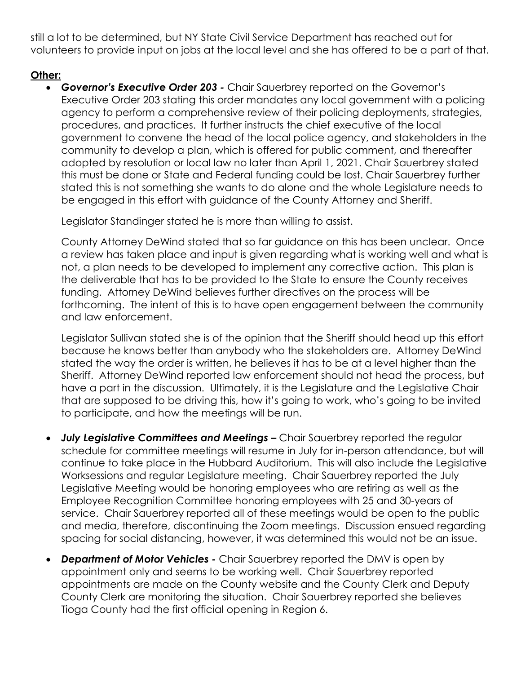still a lot to be determined, but NY State Civil Service Department has reached out for volunteers to provide input on jobs at the local level and she has offered to be a part of that.

### **Other:**

 *Governor's Executive Order 203 -* Chair Sauerbrey reported on the Governor's Executive Order 203 stating this order mandates any local government with a policing agency to perform a comprehensive review of their policing deployments, strategies, procedures, and practices. It further instructs the chief executive of the local government to convene the head of the local police agency, and stakeholders in the community to develop a plan, which is offered for public comment, and thereafter adopted by resolution or local law no later than April 1, 2021. Chair Sauerbrey stated this must be done or State and Federal funding could be lost. Chair Sauerbrey further stated this is not something she wants to do alone and the whole Legislature needs to be engaged in this effort with guidance of the County Attorney and Sheriff.

Legislator Standinger stated he is more than willing to assist.

County Attorney DeWind stated that so far guidance on this has been unclear. Once a review has taken place and input is given regarding what is working well and what is not, a plan needs to be developed to implement any corrective action. This plan is the deliverable that has to be provided to the State to ensure the County receives funding. Attorney DeWind believes further directives on the process will be forthcoming. The intent of this is to have open engagement between the community and law enforcement.

Legislator Sullivan stated she is of the opinion that the Sheriff should head up this effort because he knows better than anybody who the stakeholders are. Attorney DeWind stated the way the order is written, he believes it has to be at a level higher than the Sheriff. Attorney DeWind reported law enforcement should not head the process, but have a part in the discussion. Ultimately, it is the Legislature and the Legislative Chair that are supposed to be driving this, how it's going to work, who's going to be invited to participate, and how the meetings will be run.

- **July Legislative Committees and Meetings -** Chair Sauerbrey reported the regular schedule for committee meetings will resume in July for in-person attendance, but will continue to take place in the Hubbard Auditorium. This will also include the Legislative Worksessions and regular Legislature meeting. Chair Sauerbrey reported the July Legislative Meeting would be honoring employees who are retiring as well as the Employee Recognition Committee honoring employees with 25 and 30-years of service. Chair Sauerbrey reported all of these meetings would be open to the public and media, therefore, discontinuing the Zoom meetings. Discussion ensued regarding spacing for social distancing, however, it was determined this would not be an issue.
- *Department of Motor Vehicles -* Chair Sauerbrey reported the DMV is open by appointment only and seems to be working well. Chair Sauerbrey reported appointments are made on the County website and the County Clerk and Deputy County Clerk are monitoring the situation. Chair Sauerbrey reported she believes Tioga County had the first official opening in Region 6.